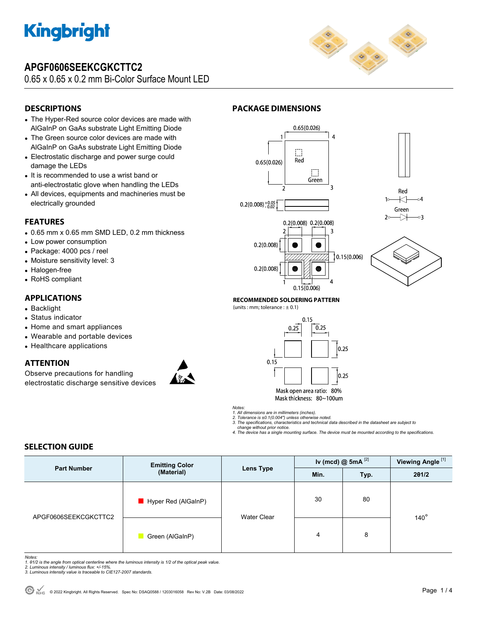

# **APGF0606SEEKCGKCTTC2**

0.65 x 0.65 x 0.2 mm Bi-Color Surface Mount LED



# **DESCRIPTIONS**

- The Hyper-Red source color devices are made with AlGaInP on GaAs substrate Light Emitting Diode
- The Green source color devices are made with AlGaInP on GaAs substrate Light Emitting Diode
- Electrostatic discharge and power surge could damage the LEDs
- It is recommended to use a wrist band or anti-electrostatic glove when handling the LEDs
- All devices, equipments and machineries must be electrically grounded

### **FEATURES**

- 0.65 mm x 0.65 mm SMD LED, 0.2 mm thickness
- Low power consumption
- Package: 4000 pcs / reel
- Moisture sensitivity level: 3
- Halogen-free
- RoHS compliant

## **APPLICATIONS**

- Backlight
- Status indicator
- Home and smart appliances
- Wearable and portable devices
- Healthcare applications

## **ATTENTION**

Observe precautions for handling electrostatic discharge sensitive devices











#### **RECOMMENDED SOLDERING PATTERN**  (units : mm; tolerance :  $\pm$  0.1)



*Notes:* 

- *1. All dimensions are in millimeters (inches). 2. Tolerance is ±0.1(0.004") unless otherwise noted.*
- *3. The specifications, characteristics and technical data described in the datasheet are subject to change without prior notice.*

*4. The device has a single mounting surface. The device must be mounted according to the specifications.* 

# **SELECTION GUIDE**

| <b>Part Number</b>   | <b>Emitting Color</b><br>(Material) | Lens Type          | Iv (mcd) $@$ 5mA $^{[2]}$ |      | Viewing Angle <sup>[1]</sup> |  |
|----------------------|-------------------------------------|--------------------|---------------------------|------|------------------------------|--|
|                      |                                     |                    | Min.                      | Typ. | 201/2                        |  |
| APGF0606SEEKCGKCTTC2 | Hyper Red (AlGaInP)                 | <b>Water Clear</b> | 30                        | 80   |                              |  |
|                      | Green (AlGaInP)                     |                    | 4                         | 8    | $140^\circ$                  |  |

*Notes:* 

*1. θ1/2 is the angle from optical centerline where the luminous intensity is 1/2 of the optical peak value. 2. Luminous intensity / luminous flux: +/-15%.* 

*3. Luminous intensity value is traceable to CIE127-2007 standards.*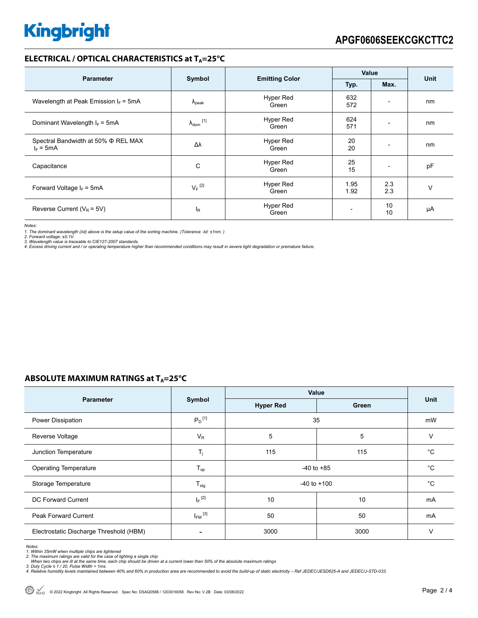# **ELECTRICAL / OPTICAL CHARACTERISTICS at T<sub>A</sub>=25°C**

| <b>Parameter</b>                                        | Symbol                     |                           | Value                    |                          |      |
|---------------------------------------------------------|----------------------------|---------------------------|--------------------------|--------------------------|------|
|                                                         |                            | <b>Emitting Color</b>     | Typ.                     | Max.                     | Unit |
| Wavelength at Peak Emission $I_F = 5mA$                 | $\Lambda_{\rm peak}$       | <b>Hyper Red</b><br>Green | 632<br>572               |                          | nm   |
| Dominant Wavelength $I_F = 5mA$                         | $\lambda_{\text{dom}}$ [1] | Hyper Red<br>Green        | 624<br>571               | $\overline{\phantom{a}}$ | nm   |
| Spectral Bandwidth at 50% $\Phi$ REL MAX<br>$I_F = 5mA$ | Δλ                         | Hyper Red<br>Green        | 20<br>20                 | $\overline{\phantom{0}}$ | nm   |
| Capacitance                                             | C                          | <b>Hyper Red</b><br>Green | 25<br>15                 |                          | pF   |
| Forward Voltage $I_F$ = 5mA                             | $V_F$ <sup>[2]</sup>       | Hyper Red<br>Green        | 1.95<br>1.92             | 2.3<br>2.3               | v    |
| Reverse Current ( $V_R$ = 5V)                           | l <sub>R</sub>             | <b>Hyper Red</b><br>Green | $\overline{\phantom{0}}$ | 10<br>10                 | μA   |

*Notes:* 

1. The dominant wavelength (λd) above is the setup value of the sorting machine. (Tolerance λd: ±1nm. )<br>2. Forward voltage: ±0.1V.<br>3. Wavelength value is traceable to CIE127-2007 standards.<br>4. Excess driving current and /

# **ABSOLUTE MAXIMUM RATINGS at T<sub>A</sub>=25°C**

|                                         | Symbol                  | Value            |             |             |
|-----------------------------------------|-------------------------|------------------|-------------|-------------|
| <b>Parameter</b>                        |                         | <b>Hyper Red</b> | Green       | Unit        |
| Power Dissipation                       | $P_D$ <sup>[1]</sup>    | 35               |             | mW          |
| Reverse Voltage                         | $V_R$                   | 5                | 5           | $\vee$      |
| Junction Temperature                    | $T_i$                   | 115              | 115         | $^{\circ}C$ |
| <b>Operating Temperature</b>            | $T_{op}$                | $-40$ to $+85$   | $^{\circ}C$ |             |
| Storage Temperature                     | $T_{\text{stg}}$        | $-40$ to $+100$  |             | $^{\circ}C$ |
| DC Forward Current                      | $I_F$ <sup>[2]</sup>    | 10               | 10          | mA          |
| <b>Peak Forward Current</b>             | $I_{FM}$ <sup>[3]</sup> | 50               | 50          | mA          |
| Electrostatic Discharge Threshold (HBM) |                         | 3000             | 3000        | $\vee$      |

*Notes:* 

1. Within 35mW when multiple chips are lightened<br>2. The maximum ratings are valid for the case of lighting a single chip<br>- When two chips are lit at the same time, each chip should be driven at a current lower than 50% of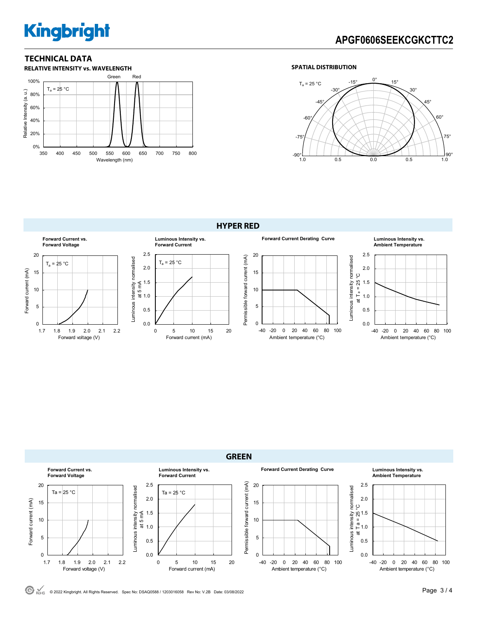# **Kingbright**

# **APGF0606SEEKCGKCTTC2**

# **TECHNICAL DATA**



### **SPATIAL DISTRIBUTION**







 $\bigodot$  RoHS © 2022 Kingbright. All Rights Reserved. Spec No: DSAQ0588 / 1203016058 Rev No: V.2B Date: 03/08/2022 **Page 3 / 4** Page 3 / 4